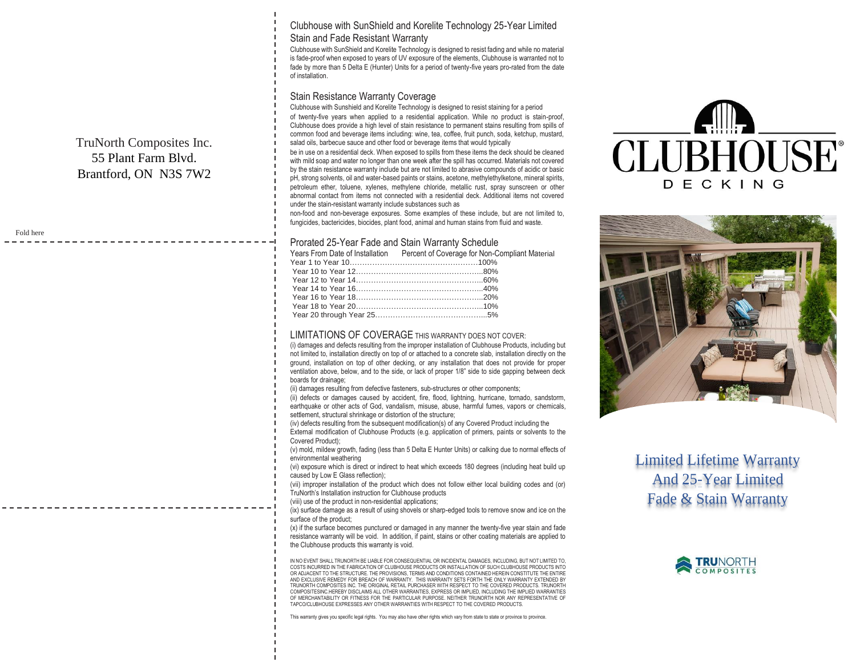Clubhouse with SunShield and Korelite Technology 25-Year Limited Stain and Fade Resistant Warranty

Clubhouse with SunShield and Korelite Technology is designed to resist fading and while no material is fade-proof when exposed to years of UV exposure of the elements, Clubhouse is warranted not to fade by more than 5 Delta E (Hunter) Units for a period of twenty-five years pro-rated from the date of installation.

## Stain Resistance Warranty Coverage

TruNorth Composites Inc. 55 Plant Farm Blvd. Brantford, ON N3S 7W2

Fold here

Clubhouse with Sunshield and Korelite Technology is designed to resist staining for a period of twenty-five years when applied to a residential application. While no product is stain-proof, Clubhouse does provide a high level of stain resistance to permanent stains resulting from spills of common food and beverage items including: wine, tea, coffee, fruit punch, soda, ketchup, mustard, salad oils, barbecue sauce and other food or beverage items that would typically

be in use on a residential deck. When exposed to spills from these items the deck should be cleaned with mild soap and water no longer than one week after the spill has occurred. Materials not covered by the stain resistance warranty include but are not limited to abrasive compounds of acidic or basic pH, strong solvents, oil and water-based paints or stains, acetone, methylethylketone, mineral spirits, petroleum ether, toluene, xylenes, methylene chloride, metallic rust, spray sunscreen or other abnormal contact from items not connected with a residential deck. Additional items not covered under the stain-resistant warranty include substances such as

non-food and non-beverage exposures. Some examples of these include, but are not limited to, fungicides, bactericides, biocides, plant food, animal and human stains from fluid and waste.

## Prorated 25-Year Fade and Stain Warranty Schedule

|  | Years From Date of Installation Percent of Coverage for Non-Compliant Material |
|--|--------------------------------------------------------------------------------|
|  |                                                                                |
|  |                                                                                |
|  |                                                                                |
|  |                                                                                |
|  |                                                                                |
|  |                                                                                |
|  |                                                                                |
|  |                                                                                |

## LIMITATIONS OF COVERAGE THIS WARRANTY DOES NOT COVER:

(i) damages and defects resulting from the improper installation of Clubhouse Products, including but not limited to, installation directly on top of or attached to a concrete slab, installation directly on the ground, installation on top of other decking, or any installation that does not provide for proper ventilation above, below, and to the side, or lack of proper 1/8" side to side gapping between deck boards for drainage;

(ii) damages resulting from defective fasteners, sub-structures or other components;

(ii) defects or damages caused by accident, fire, flood, lightning, hurricane, tornado, sandstorm, earthquake or other acts of God, vandalism, misuse, abuse, harmful fumes, vapors or chemicals, settlement, structural shrinkage or distortion of the structure;

(iv) defects resulting from the subsequent modification(s) of any Covered Product including the External modification of Clubhouse Products (e.g. application of primers, paints or solvents to the Covered Product);

(v) mold, mildew growth, fading (less than 5 Delta E Hunter Units) or calking due to normal effects of environmental weathering

(vi) exposure which is direct or indirect to heat which exceeds 180 degrees (including heat build up caused by Low E Glass reflection);

(vii) improper installation of the product which does not follow either local building codes and (or) TruNorth's Installation instruction for Clubhouse products

(viii) use of the product in non-residential applications;

(ix) surface damage as a result of using shovels or sharp-edged tools to remove snow and ice on the surface of the product:

(x) if the surface becomes punctured or damaged in any manner the twenty-five year stain and fade resistance warranty will be void. In addition, if paint, stains or other coating materials are applied to the Clubhouse products this warranty is void.

IN NO EVENT SHALL TRUNORTH BE LIABLE FOR CONSEQUENTIAL OR INCIDENTAL DAMAGES, INCLUDING, BUT NOT LIMITED TO, COSTS INCURRED IN THE FABRICATION OF CLUBHOUSE PRODUCTS OR INSTALLATION OF SUCH CLUBHOUSE PRODUCTS INTO OR ADJACENT TO THE STRUCTURE. THE PROVISIONS, TERMS AND CONDITIONS CONTAINED HEREIN CONSTITUTE THE ENTIRE AND EXCLUSIVE REMEDY FOR BREACH OF WARRANTY. THIS WARRANTY SETS FORTH THE ONLY WARRANTY EXTENDED BY TRUNORTH COMPOSITES INC. THE ORIGINAL RETAIL PURCHASER WITH RESPECT TO THE COVERED PRODUCTS. TRUNORTH COMPOSITESINC.HEREBY DISCLAIMS ALL OTHER WARRANTIES, EXPRESS OR IMPLIED, INCLUDING THE IMPLIED WARRANTIES OF MERCHANTABILITY OR FITNESS FOR THE PARTICULAR PURPOSE. NEITHER TRUNORTH NOR ANY REPRESENTATIVE OF TAPCO/CLUBHOUSE EXPRESSES ANY OTHER WARRANTIES WITH RESPECT TO THE COVERED PRODUCTS.

This warranty gives you specific legal rights. You may also have other rights which vary from state to state or province to province.





Limited Lifetime Warranty And 25-Year Limited Fade & Stain Warranty